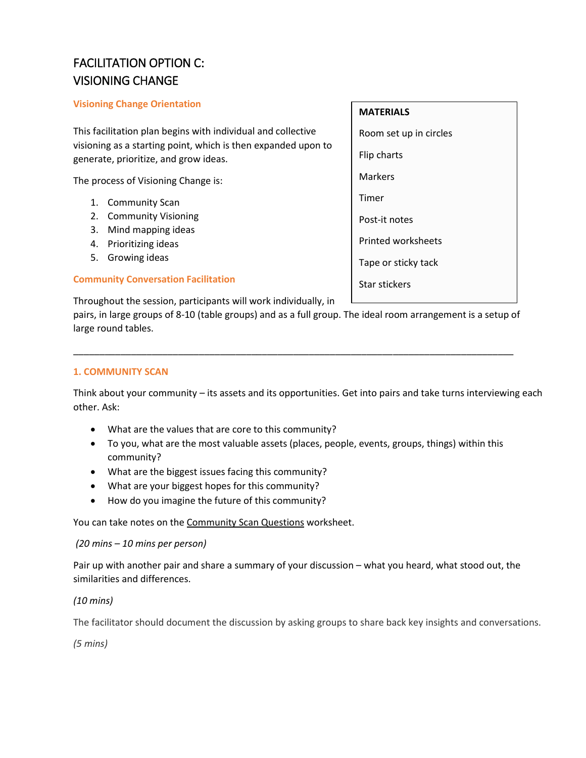# FACILITATION OPTION C: VISIONING CHANGE

## **Visioning Change Orientation**

This facilitation plan begins with individual and collective visioning as a starting point, which is then expanded upon to generate, prioritize, and grow ideas.

The process of Visioning Change is:

- 1. Community Scan
- 2. Community Visioning
- 3. Mind mapping ideas
- 4. Prioritizing ideas
- 5. Growing ideas

## **Community Conversation Facilitation**

Throughout the session, participants will work individually, in

pairs, in large groups of 8-10 (table groups) and as a full group. The ideal room arrangement is a setup of large round tables.

\_\_\_\_\_\_\_\_\_\_\_\_\_\_\_\_\_\_\_\_\_\_\_\_\_\_\_\_\_\_\_\_\_\_\_\_\_\_\_\_\_\_\_\_\_\_\_\_\_\_\_\_\_\_\_\_\_\_\_\_\_\_\_\_\_\_\_\_\_\_\_\_\_\_\_\_\_\_\_\_\_\_\_\_

## **1. COMMUNITY SCAN**

Think about your community – its assets and its opportunities. Get into pairs and take turns interviewing each other. Ask:

- What are the values that are core to this community?
- To you, what are the most valuable assets (places, people, events, groups, things) within this community?
- What are the biggest issues facing this community?
- What are your biggest hopes for this community?
- How do you imagine the future of this community?

You can take notes on the [Community Scan Questions](https://members.museumsontario.ca/sites/default/files/members/members/museumSUCCESSion/Resources/Community%20Scan%20Questions.pdf) worksheet.

#### *(20 mins – 10 mins per person)*

Pair up with another pair and share a summary of your discussion – what you heard, what stood out, the similarities and differences.

## *(10 mins)*

The facilitator should document the discussion by asking groups to share back key insights and conversations.

*(5 mins)*

## **MATERIALS**

Room set up in circles Flip charts Markers Timer Post-it notes Printed worksheets Tape or sticky tack Star stickers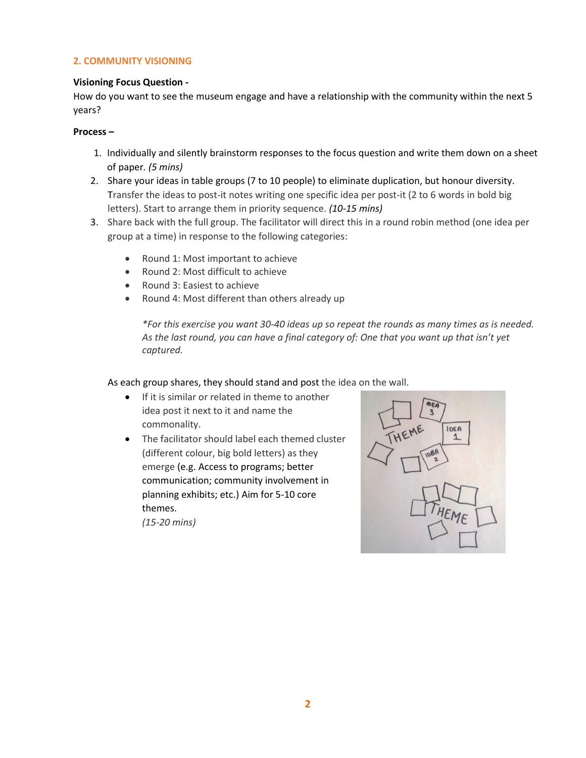## **2. COMMUNITY VISIONING**

#### **Visioning Focus Question -**

How do you want to see the museum engage and have a relationship with the community within the next 5 years?

#### **Process –**

- 1. Individually and silently brainstorm responses to the focus question and write them down on a sheet of paper*. (5 mins)*
- 2. Share your ideas in table groups (7 to 10 people) to eliminate duplication, but honour diversity. Transfer the ideas to post-it notes writing one specific idea per post-it (2 to 6 words in bold big letters). Start to arrange them in priority sequence. *(10-15 mins)*
- 3. Share back with the full group. The facilitator will direct this in a round robin method (one idea per group at a time) in response to the following categories:
	- Round 1: Most important to achieve
	- Round 2: Most difficult to achieve
	- Round 3: Easiest to achieve
	- Round 4: Most different than others already up

*\*For this exercise you want 30-40 ideas up so repeat the rounds as many times as is needed. As the last round, you can have a final category of: One that you want up that isn't yet captured.*

As each group shares, they should stand and post the idea on the wall.

- **If it is similar or related in theme to another** idea post it next to it and name the commonality.
- The facilitator should label each themed cluster (different colour, big bold letters) as they emerge (e.g. Access to programs; better communication; community involvement in planning exhibits; etc.) Aim for 5-10 core themes.

*(15-20 mins)*

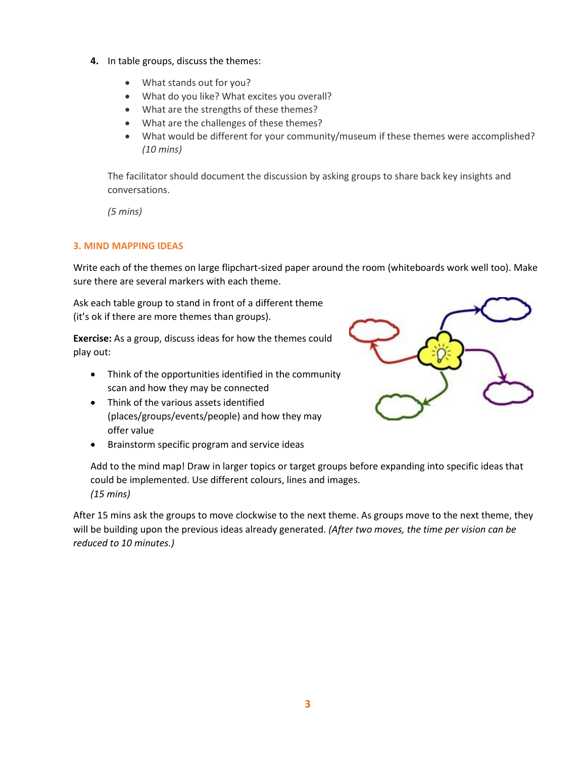- **4.** In table groups, discuss the themes:
	- What stands out for you?
	- What do you like? What excites you overall?
	- What are the strengths of these themes?
	- What are the challenges of these themes?
	- What would be different for your community/museum if these themes were accomplished? *(10 mins)*

The facilitator should document the discussion by asking groups to share back key insights and conversations.

*(5 mins)*

#### **3. MIND MAPPING IDEAS**

Write each of the themes on large flipchart-sized paper around the room (whiteboards work well too). Make sure there are several markers with each theme.

Ask each table group to stand in front of a different theme (it's ok if there are more themes than groups).

**Exercise:** As a group, discuss ideas for how the themes could play out:

- Think of the opportunities identified in the community scan and how they may be connected
- Think of the various assets identified (places/groups/events/people) and how they may offer value
- Brainstorm specific program and service ideas



After 15 mins ask the groups to move clockwise to the next theme. As groups move to the next theme, they will be building upon the previous ideas already generated. *(After two moves, the time per vision can be reduced to 10 minutes.)*

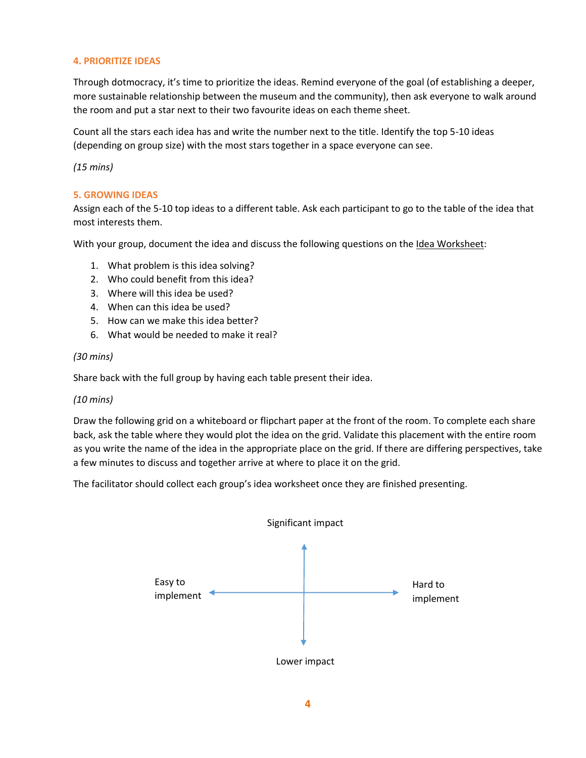## **4. PRIORITIZE IDEAS**

Through dotmocracy, it's time to prioritize the ideas. Remind everyone of the goal (of establishing a deeper, more sustainable relationship between the museum and the community), then ask everyone to walk around the room and put a star next to their two favourite ideas on each theme sheet.

Count all the stars each idea has and write the number next to the title. Identify the top 5-10 ideas (depending on group size) with the most stars together in a space everyone can see.

*(15 mins)*

#### **5. GROWING IDEAS**

Assign each of the 5-10 top ideas to a different table. Ask each participant to go to the table of the idea that most interests them.

With your group, document the idea and discuss the following questions on th[e Idea Worksheet:](https://members.museumsontario.ca/sites/default/files/members/members/museumSUCCESSion/Resources/Idea%20Worksheet.pdf)

- 1. What problem is this idea solving?
- 2. Who could benefit from this idea?
- 3. Where will this idea be used?
- 4. When can this idea be used?
- 5. How can we make this idea better?
- 6. What would be needed to make it real?

#### *(30 mins)*

Share back with the full group by having each table present their idea.

#### *(10 mins)*

Draw the following grid on a whiteboard or flipchart paper at the front of the room. To complete each share back, ask the table where they would plot the idea on the grid. Validate this placement with the entire room as you write the name of the idea in the appropriate place on the grid. If there are differing perspectives, take a few minutes to discuss and together arrive at where to place it on the grid.

The facilitator should collect each group's idea worksheet once they are finished presenting.

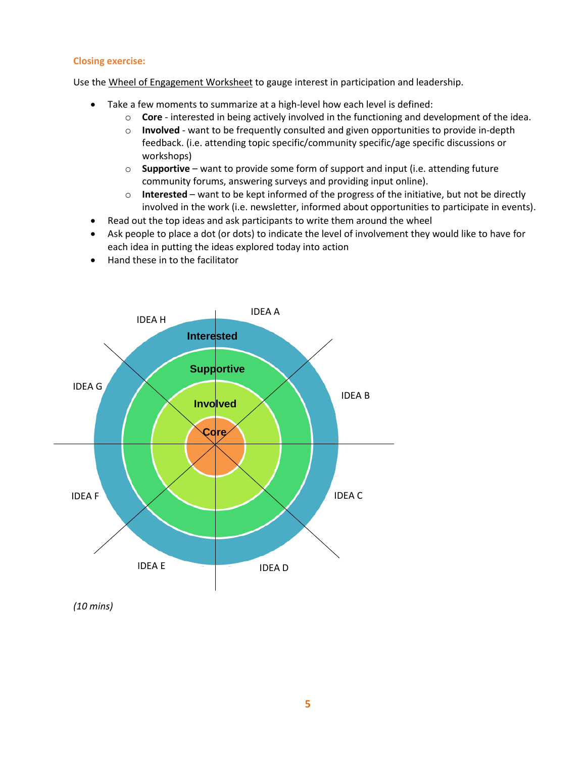#### **Closing exercise:**

Use the [Wheel of Engagement Worksheet](https://members.museumsontario.ca/sites/default/files/members/members/museumSUCCESSion/Resources/Wheel%20of%20Engagement.pdf) to gauge interest in participation and leadership.

- Take a few moments to summarize at a high-level how each level is defined:
	- o **Core** interested in being actively involved in the functioning and development of the idea.
	- o **Involved** want to be frequently consulted and given opportunities to provide in-depth feedback. (i.e. attending topic specific/community specific/age specific discussions or workshops)
	- o **Supportive** want to provide some form of support and input (i.e. attending future community forums, answering surveys and providing input online).
	- o **Interested** want to be kept informed of the progress of the initiative, but not be directly involved in the work (i.e. newsletter, informed about opportunities to participate in events).
- Read out the top ideas and ask participants to write them around the wheel
- Ask people to place a dot (or dots) to indicate the level of involvement they would like to have for each idea in putting the ideas explored today into action
- Hand these in to the facilitator



*(10 mins)*